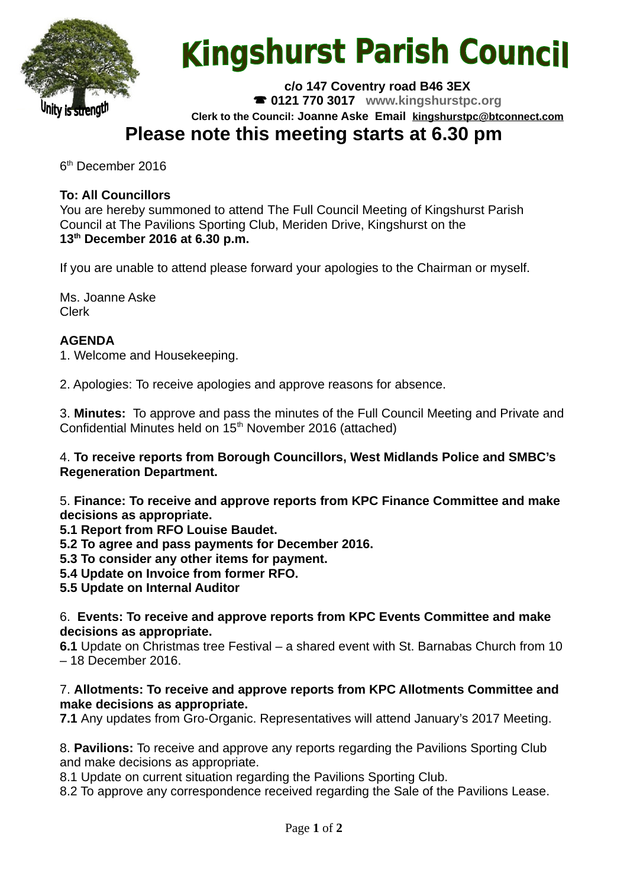

# **Kingshurst Parish Council**

**c/o 147 Coventry road B46 3EX 0121 770 3017 www.kingshurstpc.org Clerk to the Council: Joanne Aske Email [kingshurstpc@btconnect.com](mailto:kingshurstpc@btconnect.com)**

# **Please note this meeting starts at 6.30 pm**

6<sup>th</sup> December 2016

# **To: All Councillors**

You are hereby summoned to attend The Full Council Meeting of Kingshurst Parish Council at The Pavilions Sporting Club, Meriden Drive, Kingshurst on the **13th December 2016 at 6.30 p.m.**

If you are unable to attend please forward your apologies to the Chairman or myself.

Ms. Joanne Aske Clerk

## **AGENDA**

1. Welcome and Housekeeping.

2. Apologies: To receive apologies and approve reasons for absence.

3. **Minutes:** To approve and pass the minutes of the Full Council Meeting and Private and Confidential Minutes held on  $15<sup>th</sup>$  November 2016 (attached)

4. **To receive reports from Borough Councillors, West Midlands Police and SMBC's Regeneration Department.**

5. **Finance: To receive and approve reports from KPC Finance Committee and make decisions as appropriate.**

**5.1 Report from RFO Louise Baudet.**

**5.2 To agree and pass payments for December 2016.**

**5.3 To consider any other items for payment.**

**5.4 Update on Invoice from former RFO.**

**5.5 Update on Internal Auditor**

6. **Events: To receive and approve reports from KPC Events Committee and make decisions as appropriate.**

**6.1** Update on Christmas tree Festival – a shared event with St. Barnabas Church from 10 – 18 December 2016.

#### 7. **Allotments: To receive and approve reports from KPC Allotments Committee and make decisions as appropriate.**

**7.1** Any updates from Gro-Organic. Representatives will attend January's 2017 Meeting.

8. **Pavilions:** To receive and approve any reports regarding the Pavilions Sporting Club and make decisions as appropriate.

8.1 Update on current situation regarding the Pavilions Sporting Club.

8.2 To approve any correspondence received regarding the Sale of the Pavilions Lease.